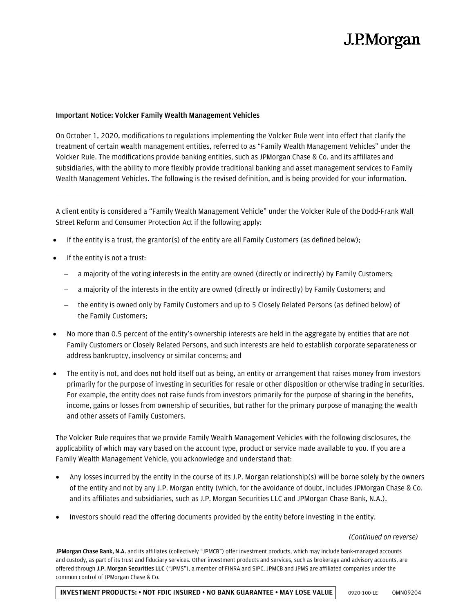## J.P.Morgan

## **Important Notice: Volcker Family Wealth Management Vehicles**

On October 1, 2020, modifications to regulations implementing the Volcker Rule went into effect that clarify the treatment of certain wealth management entities, referred to as "Family Wealth Management Vehicles" under the Volcker Rule. The modifications provide banking entities, such as JPMorgan Chase & Co. and its affiliates and subsidiaries, with the ability to more flexibly provide traditional banking and asset management services to Family Wealth Management Vehicles. The following is the revised definition, and is being provided for your information.

A client entity is considered a "Family Wealth Management Vehicle" under the Volcker Rule of the Dodd-Frank Wall Street Reform and Consumer Protection Act if the following apply:

- If the entity is a trust, the grantor(s) of the entity are all Family Customers (as defined below);
- If the entity is not a trust:
	- a majority of the voting interests in the entity are owned (directly or indirectly) by Family Customers;
	- − a majority of the interests in the entity are owned (directly or indirectly) by Family Customers; and
	- − the entity is owned only by Family Customers and up to 5 Closely Related Persons (as defined below) of the Family Customers;
- No more than 0.5 percent of the entity's ownership interests are held in the aggregate by entities that are not Family Customers or Closely Related Persons, and such interests are held to establish corporate separateness or address bankruptcy, insolvency or similar concerns; and
- The entity is not, and does not hold itself out as being, an entity or arrangement that raises money from investors primarily for the purpose of investing in securities for resale or other disposition or otherwise trading in securities. For example, the entity does not raise funds from investors primarily for the purpose of sharing in the benefits, income, gains or losses from ownership of securities, but rather for the primary purpose of managing the wealth and other assets of Family Customers.

The Volcker Rule requires that we provide Family Wealth Management Vehicles with the following disclosures, the applicability of which may vary based on the account type, product or service made available to you. If you are a Family Wealth Management Vehicle, you acknowledge and understand that:

- Any losses incurred by the entity in the course of its J.P. Morgan relationship(s) will be borne solely by the owners of the entity and not by any J.P. Morgan entity (which, for the avoidance of doubt, includes JPMorgan Chase & Co. and its affiliates and subsidiaries, such as J.P. Morgan Securities LLC and JPMorgan Chase Bank, N.A.).
- Investors should read the offering documents provided by the entity before investing in the entity.

## *(Continued on reverse)*

**JPMorgan Chase Bank, N.A.** and its affiliates (collectively "JPMCB") offer investment products, which may include bank-managed accounts and custody, as part of its trust and fiduciary services. Other investment products and services, such as brokerage and advisory accounts, are offered through **J.P. Morgan Securities LLC** ("JPMS"), a member of FINRA and SIPC. JPMCB and JPMS are affiliated companies under the common control of JPMorgan Chase & Co.

**INVESTMENT PRODUCTS: • NOT FDIC INSURED • NO BANK GUARANTEE • MAY LOSE VALUE** 0920-100-LE OMN09204